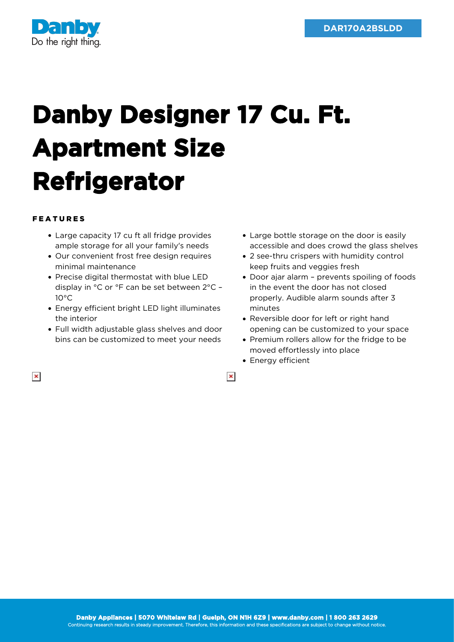

## **Danby Designer 17 Cu. Ft. Apartment Size Refrigerator**

## FEATURES

 $\pmb{\times}$ 

- Large capacity 17 cu ft all fridge provides ample storage for all your family's needs
- Our convenient frost free design requires minimal maintenance
- Precise digital thermostat with blue LED display in °C or °F can be set between 2°C –  $10^{\circ}$ C
- Energy efficient bright LED light illuminates the interior
- Full width adjustable glass shelves and door bins can be customized to meet your needs
- Large bottle storage on the door is easily accessible and does crowd the glass shelves
- 2 see-thru crispers with humidity control keep fruits and veggies fresh
- Door ajar alarm prevents spoiling of foods in the event the door has not closed properly. Audible alarm sounds after 3 minutes
- Reversible door for left or right hand opening can be customized to your space
- Premium rollers allow for the fridge to be moved effortlessly into place
- Energy efficient

 $\pmb{\times}$